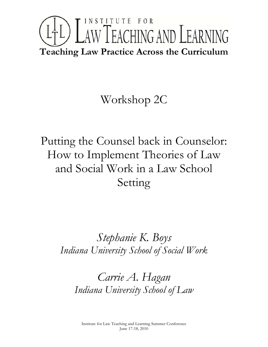# INSTITUTE FOR LTL) LAW TEACHING AND LEARNING **Teaching Law Practice Across the Curriculum**

# Workshop 2C

Putting the Counsel back in Counselor: How to Implement Theories of Law and Social Work in a Law School Setting

> *Stephanie K. Boys Indiana University School of Social Work*

*Carrie A. Hagan Indiana University School of Law*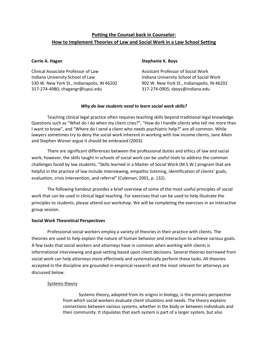# **Putting the Counsel back in Counselor: How to Implement Theories of Law and Social Work in a Law School Setting**

Clinical Associate Professor of Law Assistant Professor of Social Work Indiana University School of Law Indiana University School of Social Work 317‐274‐4980; chagangr@iupui.edu 317‐274‐0905; sboys@indiana.edu

### **Carrie A. Hagan Stephanie K. Boys**

530 W. New York St., Indianapolis, IN 46202 902 W. New York St., Indianapolis, IN 46202

# *Why do law students need to learn social work skills?*

Teaching clinical legal practice often requires teaching skills beyond traditional legal knowledge. Questions such as "What do I do when my client cries?", "How do I handle clients who tell me more than I want to know", and "Where do I send a client who needs psychiatric help?" are all common. While lawyers sometimes try to deny the social work inherent in working with low income clients, Jane Aiken and Stephen Wizner argue it should be embraced (2003).

There are significant differences between the professional duties and ethics of law and social work; however, the skills taught in schools of social work can be useful tools to address the common challenges faced by law students. "Skills learned in a Master of Social Work (M.S.W.) program that are helpful in the practice of law include interviewing, empathic listening, identification of clients' goals, evaluation, crisis intervention, and referral" (Coleman, 2001, p. 132).

The following handout provides a brief overview of some of the most useful principles of social work that can be used in clinical legal teaching. For exercises that can be used to help illustrate the principles to students, please attend our workshop. We will be completing the exercises in an interactive group session.

# **Social Work Theoretical Perspectives**

Professional social workers employ a variety of theories in their practice with clients. The theories are used to help explain the nature of human behavior and interaction to achieve various goals. A few tasks that social workers and attorneys have in common when working with clients is informational interviewing and goal‐setting based upon client decisions. Several theories borrowed from social work can help attorneys more effectively and systematically perform these tasks. All theories accepted in the discipline are grounded in empirical research and the most relevant for attorneys are discussed below.

# Systems theory

Systems theory**,** adopted from its origins in biology, is the primary perspective from which social workers evaluate client situations and needs. The theory explains connections between various systems, whether in the body or between individuals and their community. It stipulates that each system is part of a larger system, but also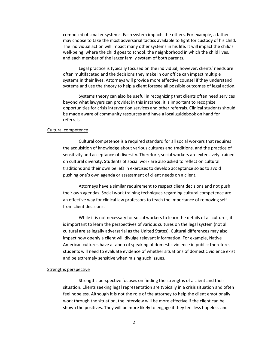composed of smaller systems. Each system impacts the others. For example, a father may choose to take the most adversarial tactics available to fight for custody of his child. The individual action will impact many other systems in his life. It will impact the child's well-being, where the child goes to school, the neighborhood in which the child lives, and each member of the larger family system of both parents.

Legal practice is typically focused on the individual; however, clients' needs are often multifaceted and the decisions they make in our office can impact multiple systems in their lives. Attorneys will provide more effective counsel if they understand systems and use the theory to help a client foresee all possible outcomes of legal action.

Systems theory can also be useful in recognizing that clients often need services beyond what lawyers can provide; in this instance, it is important to recognize opportunities for crisis intervention services and other referrals. Clinical students should be made aware of community resources and have a local guidebook on hand for referrals.

#### Cultural competence

Cultural competence is a required standard for all social workers that requires the acquisition of knowledge about various cultures and traditions, and the practice of sensitivity and acceptance of diversity. Therefore, social workers are extensively trained on cultural diversity. Students of social work are also asked to reflect on cultural traditions and their own beliefs in exercises to develop acceptance so as to avoid pushing one's own agenda or assessment of client needs on a client.

Attorneys have a similar requirement to respect client decisions and not push their own agendas. Social work training techniques regarding cultural competence are an effective way for clinical law professors to teach the importance of removing self from client decisions.

While it is not necessary for social workers to learn the details of all cultures, it is important to learn the perspectives of various cultures on the legal system (not all cultural are as legally adversarial as the United States). Cultural differences may also impact how openly a client will divulge relevant information. For example, Native American cultures have a taboo of speaking of domestic violence in public; therefore, students will need to evaluate evidence of whether situations of domestic violence exist and be extremely sensitive when raising such issues.

#### Strengths perspective

Strengths perspective focuses on finding the strengths of a client and their situation. Clients seeking legal representation are typically in a crisis situation and often feel hopeless. Although it is not the role of the attorney to help the client emotionally work through the situation, the interview will be more effective if the client can be shown the positives. They will be more likely to engage if they feel less hopeless and